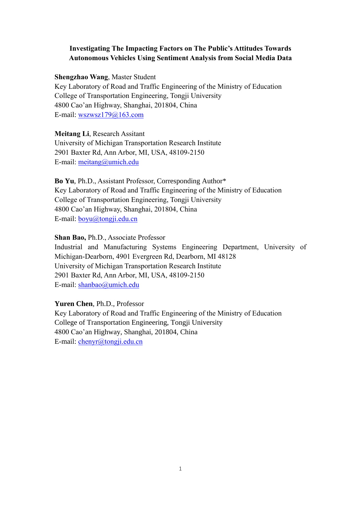# **Investigating The Impacting Factors on The Public's Attitudes Towards Autonomous Vehicles Using Sentiment Analysis from Social Media Data**

## **Shengzhao Wang**, Master Student

Key Laboratory of Road and Traffic Engineering of the Ministry of Education College of Transportation Engineering, Tongji University 4800 Cao'an Highway, Shanghai, 201804, China E-mail: wszwsz179@163.com

**Meitang Li**, Research Assitant University of Michigan Transportation Research Institute 2901 Baxter Rd, Ann Arbor, MI, USA, 48109-2150 E-mail: [meitang@umich.edu](mailto:meitang@umich.edu)

**Bo Yu**, Ph.D., Assistant Professor, Corresponding Author\* Key Laboratory of Road and Traffic Engineering of the Ministry of Education College of Transportation Engineering, Tongji University 4800 Cao'an Highway, Shanghai, 201804, China E-mail: boyu@tongji.edu.cn

# **Shan Bao,** Ph.D., Associate Professor

Industrial and Manufacturing Systems Engineering Department, University of Michigan-Dearborn, 4901 Evergreen Rd, Dearborn, MI 48128 University of Michigan Transportation Research Institute 2901 Baxter Rd, Ann Arbor, MI, USA, 48109-2150 E-mail: [shanbao@umich.edu](mailto:shanbao@umich.edu)

# **Yuren Chen**, Ph.D., Professor

Key Laboratory of Road and Traffic Engineering of the Ministry of Education College of Transportation Engineering, Tongji University 4800 Cao'an Highway, Shanghai, 201804, China E-mail: chenyr@tongji.edu.cn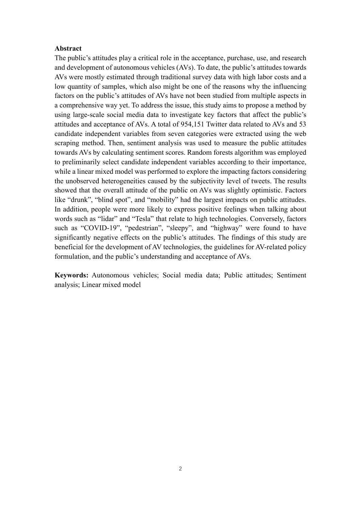## **Abstract**

The public's attitudes play a critical role in the acceptance, purchase, use, and research and development of autonomous vehicles (AVs). To date, the public's attitudes towards AVs were mostly estimated through traditional survey data with high labor costs and a low quantity of samples, which also might be one of the reasons why the influencing factors on the public's attitudes of AVs have not been studied from multiple aspects in a comprehensive way yet. To address the issue, this study aims to propose a method by using large-scale social media data to investigate key factors that affect the public's attitudes and acceptance of AVs. A total of 954,151 Twitter data related to AVs and 53 candidate independent variables from seven categories were extracted using the web scraping method. Then, sentiment analysis was used to measure the public attitudes towards AVs by calculating sentiment scores. Random forests algorithm was employed to preliminarily select candidate independent variables according to their importance, while a linear mixed model was performed to explore the impacting factors considering the unobserved heterogeneities caused by the subjectivity level of tweets. The results showed that the overall attitude of the public on AVs was slightly optimistic. Factors like "drunk", "blind spot", and "mobility" had the largest impacts on public attitudes. In addition, people were more likely to express positive feelings when talking about words such as "lidar" and "Tesla" that relate to high technologies. Conversely, factors such as "COVID-19", "pedestrian", "sleepy", and "highway" were found to have significantly negative effects on the public's attitudes. The findings of this study are beneficial for the development of AV technologies, the guidelines for AV-related policy formulation, and the public's understanding and acceptance of AVs.

**Keywords:** Autonomous vehicles; Social media data; Public attitudes; Sentiment analysis; Linear mixed model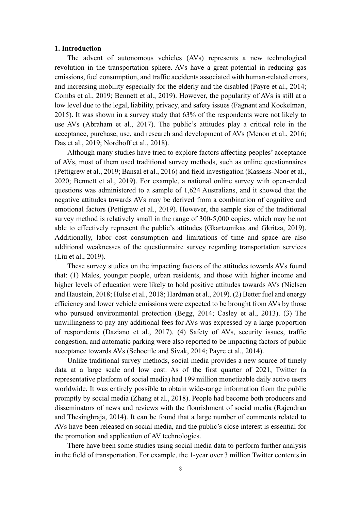#### **1. Introduction**

The advent of autonomous vehicles (AVs) represents a new technological revolution in the transportation sphere. AVs have a great potential in reducing gas emissions, fuel consumption, and traffic accidents associated with human-related errors, and increasing mobility especially for the elderly and the disabled (Payre et al., 2014; Combs et al., 2019; Bennett et al., 2019). However, the popularity of AVs is still at a low level due to the legal, liability, privacy, and safety issues (Fagnant and Kockelman, 2015). It was shown in a survey study that 63% of the respondents were not likely to use AVs (Abraham et al., 2017). The public's attitudes play a critical role in the acceptance, purchase, use, and research and development of AVs (Menon et al., 2016; Das et al., 2019; Nordhoff et al., 2018).

Although many studies have tried to explore factors affecting peoples' acceptance of AVs, most of them used traditional survey methods, such as online questionnaires (Pettigrew et al., 2019; Bansal et al., 2016) and field investigation (Kassens-Noor et al., 2020; Bennett et al., 2019). For example, a national online survey with open-ended questions was administered to a sample of 1,624 Australians, and it showed that the negative attitudes towards AVs may be derived from a combination of cognitive and emotional factors (Pettigrew et al., 2019). However, the sample size of the traditional survey method is relatively small in the range of 300-5,000 copies, which may be not able to effectively represent the public's attitudes (Gkartzonikas and Gkritza, 2019). Additionally, labor cost consumption and limitations of time and space are also additional weaknesses of the questionnaire survey regarding transportation services (Liu et al., 2019).

These survey studies on the impacting factors of the attitudes towards AVs found that: (1) Males, younger people, urban residents, and those with higher income and higher levels of education were likely to hold positive attitudes towards AVs (Nielsen and Haustein, 2018; Hulse et al., 2018; Hardman et al., 2019). (2) Better fuel and energy efficiency and lower vehicle emissions were expected to be brought from AVs by those who pursued environmental protection (Begg, 2014; Casley et al., 2013). (3) The unwillingness to pay any additional fees for AVs was expressed by a large proportion of respondents (Daziano et al., 2017). (4) Safety of AVs, security issues, traffic congestion, and automatic parking were also reported to be impacting factors of public acceptance towards AVs (Schoettle and Sivak, 2014; Payre et al., 2014).

Unlike traditional survey methods, social media provides a new source of timely data at a large scale and low cost. As of the first quarter of 2021, Twitter (a representative platform of social media) had 199 million monetizable daily active users worldwide. It was entirely possible to obtain wide-range information from the public promptly by social media (Zhang et al., 2018). People had become both producers and disseminators of news and reviews with the flourishment of social media (Rajendran and Thesinghraja, 2014). It can be found that a large number of comments related to AVs have been released on social media, and the public's close interest is essential for the promotion and application of AV technologies.

There have been some studies using social media data to perform further analysis in the field of transportation. For example, the 1-year over 3 million Twitter contents in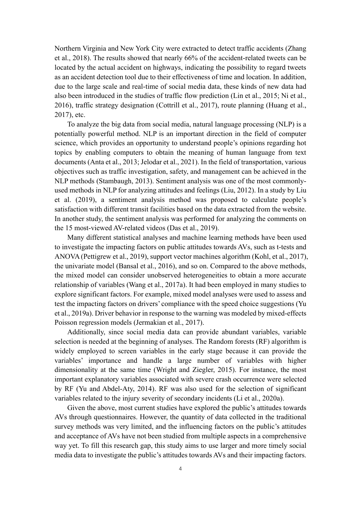Northern Virginia and New York City were extracted to detect traffic accidents (Zhang et al., 2018). The results showed that nearly 66% of the accident-related tweets can be located by the actual accident on highways, indicating the possibility to regard tweets as an accident detection tool due to their effectiveness of time and location. In addition, due to the large scale and real-time of social media data, these kinds of new data had also been introduced in the studies of traffic flow prediction (Lin et al., 2015; Ni et al., 2016), traffic strategy designation (Cottrill et al., 2017), route planning (Huang et al., 2017), etc.

To analyze the big data from social media, natural language processing (NLP) is a potentially powerful method. NLP is an important direction in the field of computer science, which provides an opportunity to understand people's opinions regarding hot topics by enabling computers to obtain the meaning of human language from text documents (Anta et al., 2013; Jelodar et al., 2021). In the field of transportation, various objectives such as traffic investigation, safety, and management can be achieved in the NLP methods (Stambaugh, 2013). Sentiment analysis was one of the most commonlyused methods in NLP for analyzing attitudes and feelings (Liu, 2012). In a study by Liu et al. (2019), a sentiment analysis method was proposed to calculate people's satisfaction with different transit facilities based on the data extracted from the website. In another study, the sentiment analysis was performed for analyzing the comments on the 15 most-viewed AV-related videos (Das et al., 2019).

Many different statistical analyses and machine learning methods have been used to investigate the impacting factors on public attitudes towards AVs, such as t-tests and ANOVA (Pettigrew et al., 2019), support vector machines algorithm (Kohl, et al., 2017), the univariate model (Bansal et al., 2016), and so on. Compared to the above methods, the mixed model can consider unobserved heterogeneities to obtain a more accurate relationship of variables (Wang et al., 2017a). It had been employed in many studies to explore significant factors. For example, mixed model analyses were used to assess and test the impacting factors on drivers' compliance with the speed choice suggestions (Yu et al., 2019a). Driver behavior in response to the warning was modeled by mixed-effects Poisson regression models (Jermakian et al., 2017).

Additionally, since social media data can provide abundant variables, variable selection is needed at the beginning of analyses. The Random forests (RF) algorithm is widely employed to screen variables in the early stage because it can provide the variables' importance and handle a large number of variables with higher dimensionality at the same time (Wright and Ziegler, 2015). For instance, the most important explanatory variables associated with severe crash occurrence were selected by RF (Yu and Abdel-Aty, 2014). RF was also used for the selection of significant variables related to the injury severity of secondary incidents (Li et al., 2020a).

Given the above, most current studies have explored the public's attitudes towards AVs through questionnaires. However, the quantity of data collected in the traditional survey methods was very limited, and the influencing factors on the public's attitudes and acceptance of AVs have not been studied from multiple aspects in a comprehensive way yet. To fill this research gap, this study aims to use larger and more timely social media data to investigate the public's attitudes towards AVs and their impacting factors.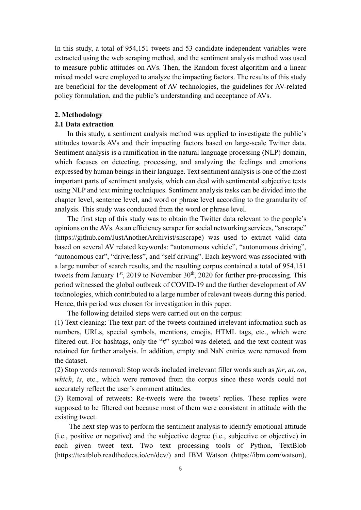In this study, a total of 954,151 tweets and 53 candidate independent variables were extracted using the web scraping method, and the sentiment analysis method was used to measure public attitudes on AVs. Then, the Random forest algorithm and a linear mixed model were employed to analyze the impacting factors. The results of this study are beneficial for the development of AV technologies, the guidelines for AV-related policy formulation, and the public's understanding and acceptance of AVs.

#### **2. Methodology**

## **2.1 Data extraction**

In this study, a sentiment analysis method was applied to investigate the public's attitudes towards AVs and their impacting factors based on large-scale Twitter data. Sentiment analysis is a ramification in the natural language processing (NLP) domain, which focuses on detecting, processing, and analyzing the feelings and emotions expressed by human beings in their language. Text sentiment analysis is one of the most important parts of sentiment analysis, which can deal with sentimental subjective texts using NLP and text mining techniques. Sentiment analysis tasks can be divided into the chapter level, sentence level, and word or phrase level according to the granularity of analysis. This study was conducted from the word or phrase level.

The first step of this study was to obtain the Twitter data relevant to the people's opinions on the AVs. As an efficiency scraper for social networking services, "snscrape" (https://github.com/JustAnotherArchivist/snscrape) was used to extract valid data based on several AV related keywords: "autonomous vehicle", "autonomous driving", "autonomous car", "driverless", and "self driving". Each keyword was associated with a large number of search results, and the resulting corpus contained a total of 954,151 tweets from January  $1<sup>st</sup>$ , 2019 to November 30<sup>th</sup>, 2020 for further pre-processing. This period witnessed the global outbreak of COVID-19 and the further development of AV technologies, which contributed to a large number of relevant tweets during this period. Hence, this period was chosen for investigation in this paper.

The following detailed steps were carried out on the corpus:

(1) Text cleaning: The text part of the tweets contained irrelevant information such as numbers, URLs, special symbols, mentions, emojis, HTML tags, etc., which were filtered out. For hashtags, only the "#" symbol was deleted, and the text content was retained for further analysis. In addition, empty and NaN entries were removed from the dataset.

(2) Stop words removal: Stop words included irrelevant filler words such as *for*, *at*, *on*, *which*, *is*, etc., which were removed from the corpus since these words could not accurately reflect the user's comment attitudes.

(3) Removal of retweets: Re-tweets were the tweets' replies. These replies were supposed to be filtered out because most of them were consistent in attitude with the existing tweet.

The next step was to perform the sentiment analysis to identify emotional attitude (i.e., positive or negative) and the subjective degree (i.e., subjective or objective) in each given tweet text. Two text processing tools of Python, TextBlob (https://textblob.readthedocs.io/en/dev/) and IBM Watson (https://ibm.com/watson),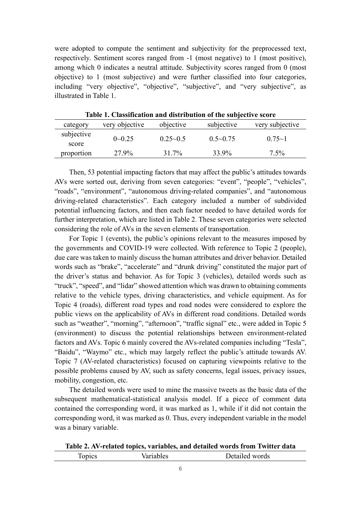were adopted to compute the sentiment and subjectivity for the preprocessed text, respectively. Sentiment scores ranged from -1 (most negative) to 1 (most positive), among which 0 indicates a neutral attitude. Subjectivity scores ranged from 0 (most objective) to 1 (most subjective) and were further classified into four categories, including "very objective", "objective", "subjective", and "very subjective", as illustrated in Table 1.

| category            | very objective | objective    | subjective      | very subjective |
|---------------------|----------------|--------------|-----------------|-----------------|
| subjective<br>score | $0 - 0.25$     | $0.25 - 0.5$ | $0.5 \sim 0.75$ | $0.75 - 1$      |
| proportion          | 27.9%          | 31.7%        | 33.9%           | $7.5\%$         |

**Table 1. Classification and distribution of the subjective score**

Then, 53 potential impacting factors that may affect the public's attitudes towards AVs were sorted out, deriving from seven categories: "event", "people", "vehicles", "roads", "environment", "autonomous driving-related companies", and "autonomous driving-related characteristics". Each category included a number of subdivided potential influencing factors, and then each factor needed to have detailed words for further interpretation, which are listed in Table 2. These seven categories were selected considering the role of AVs in the seven elements of transportation.

For Topic 1 (events), the public's opinions relevant to the measures imposed by the governments and COVID-19 were collected. With reference to Topic 2 (people), due care was taken to mainly discuss the human attributes and driver behavior. Detailed words such as "brake", "accelerate" and "drunk driving" constituted the major part of the driver's status and behavior. As for Topic 3 (vehicles), detailed words such as "truck", "speed", and "lidar" showed attention which was drawn to obtaining comments relative to the vehicle types, driving characteristics, and vehicle equipment. As for Topic 4 (roads), different road types and road nodes were considered to explore the public views on the applicability of AVs in different road conditions. Detailed words such as "weather", "morning", "afternoon", "traffic signal" etc., were added in Topic 5 (environment) to discuss the potential relationships between environment-related factors and AVs. Topic 6 mainly covered the AVs-related companies including "Tesla", "Baidu", "Waymo" etc., which may largely reflect the public's attitude towards AV. Topic 7 (AV-related characteristics) focused on capturing viewpoints relative to the possible problems caused by AV, such as safety concerns, legal issues, privacy issues, mobility, congestion, etc.

The detailed words were used to mine the massive tweets as the basic data of the subsequent mathematical-statistical analysis model. If a piece of comment data contained the corresponding word, it was marked as 1, while if it did not contain the corresponding word, it was marked as 0. Thus, every independent variable in the model was a binary variable.

**Table 2. AV-related topics, variables, and detailed words from Twitter data** Topics Variables Detailed words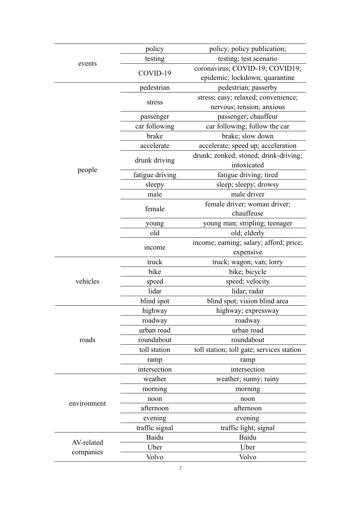|             | policy          | policy; policy publication;               |  |
|-------------|-----------------|-------------------------------------------|--|
|             | testing         | testing; test scenario                    |  |
| events      | COVID-19        | coronavirus; COVID-19; COVID19;           |  |
|             |                 | epidemic; lockdown; quarantine            |  |
|             | pedestrian      | pedestrian; passerby                      |  |
|             |                 | stress; easy; relaxed; convenience;       |  |
|             | stress          | nervous; tension; anxious                 |  |
|             | passenger       | passenger; chauffeur                      |  |
|             | car following   | car following; follow the car             |  |
|             | brake           | brake; slow down                          |  |
|             | accelerate      | accelerate; speed up; acceleration        |  |
|             | drunk driving   | drunk; zonked; stoned; drink-driving;     |  |
|             |                 | intoxicated                               |  |
| people      | fatigue driving | fatigue driving; tired                    |  |
|             | sleepy          | sleep; sleepy; drowsy                     |  |
|             | male            | male driver                               |  |
|             | female          | female driver; woman driver;              |  |
|             |                 | chauffeuse                                |  |
|             | young           | young man; stripling; teenager            |  |
|             | old             | old; elderly                              |  |
|             | income          | income; earning; salary; afford; price;   |  |
|             |                 | expensive                                 |  |
|             | truck           | truck; wagon; van; lorry                  |  |
|             | bike            | bike; bicycle                             |  |
| vehicles    | speed           | speed; velocity                           |  |
|             | lidar           | lidar; radar                              |  |
|             | blind spot      | blind spot; vision blind area             |  |
|             | highway         | highway; expressway                       |  |
|             | roadway         | roadway                                   |  |
|             | urban road      | urban road                                |  |
| roads       | roundabout      | roundabout                                |  |
|             | toll station    | toll station; toll gate; services station |  |
|             | ramp            | ramp                                      |  |
|             | intersection    | intersection                              |  |
|             | weather         | weather; sunny; rainy                     |  |
|             | morning         | morning                                   |  |
| environment | noon            | noon                                      |  |
|             | afternoon       | afternoon                                 |  |
|             | evening         | evening                                   |  |
|             | traffic signal  | traffic light; signal                     |  |
| AV-related  | Baidu           | Baidu                                     |  |
| companies   | Uber            | Uber                                      |  |
|             | Volvo           | Volvo                                     |  |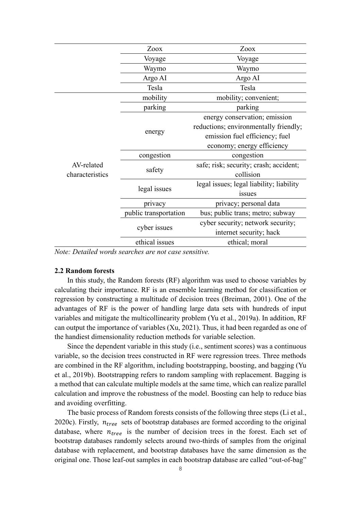|                               | Zoox                  | Zoox                                     |  |
|-------------------------------|-----------------------|------------------------------------------|--|
|                               | Voyage                | Voyage                                   |  |
|                               | Waymo                 | Waymo                                    |  |
|                               | Argo AI               | Argo AI                                  |  |
|                               | Tesla                 | Tesla                                    |  |
|                               | mobility              | mobility; convenient;                    |  |
|                               | parking<br>parking    |                                          |  |
|                               |                       | energy conservation; emission            |  |
|                               |                       | reductions; environmentally friendly;    |  |
|                               | energy                | emission fuel efficiency; fuel           |  |
| AV-related<br>characteristics |                       | economy; energy efficiency               |  |
|                               | congestion            | congestion                               |  |
|                               | safety                | safe; risk; security; crash; accident;   |  |
|                               |                       | collision                                |  |
|                               | legal issues          | legal issues; legal liability; liability |  |
|                               |                       | issues                                   |  |
|                               | privacy               | privacy; personal data                   |  |
|                               | public transportation | bus; public trans; metro; subway         |  |
|                               |                       | cyber security; network security;        |  |
|                               | cyber issues          | internet security; hack                  |  |
|                               | ethical issues        | ethical; moral                           |  |

*Note: Detailed words searches are not case sensitive.*

## **2.2 Random forests**

In this study, the Random forests (RF) algorithm was used to choose variables by calculating their importance. RF is an ensemble learning method for classification or regression by constructing a multitude of decision trees (Breiman, 2001). One of the advantages of RF is the power of handling large data sets with hundreds of input variables and mitigate the multicollinearity problem (Yu et al., 2019a). In addition, RF can output the importance of variables (Xu, 2021). Thus, it had been regarded as one of the handiest dimensionality reduction methods for variable selection.

Since the dependent variable in this study (i.e., sentiment scores) was a continuous variable, so the decision trees constructed in RF were regression trees. Three methods are combined in the RF algorithm, including bootstrapping, boosting, and bagging (Yu et al., 2019b). Bootstrapping refers to random sampling with replacement. Bagging is a method that can calculate multiple models at the same time, which can realize parallel calculation and improve the robustness of the model. Boosting can help to reduce bias and avoiding overfitting.

The basic process of Random forests consists of the following three steps (Li et al., 2020c). Firstly,  $n_{tree}$  sets of bootstrap databases are formed according to the original database, where  $n_{tree}$  is the number of decision trees in the forest. Each set of bootstrap databases randomly selects around two-thirds of samples from the original database with replacement, and bootstrap databases have the same dimension as the original one. Those leaf-out samples in each bootstrap database are called "out-of-bag"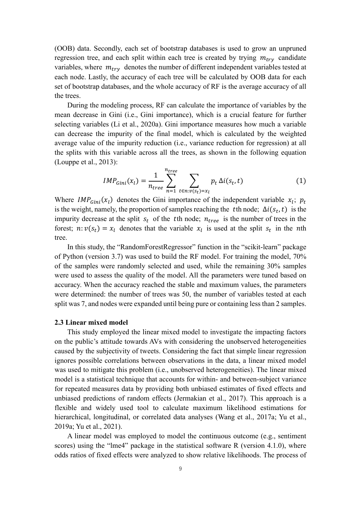(OOB) data. Secondly, each set of bootstrap databases is used to grow an unpruned regression tree, and each split within each tree is created by trying  $m_{trv}$  candidate variables, where  $m_{try}$  denotes the number of different independent variables tested at each node. Lastly, the accuracy of each tree will be calculated by OOB data for each set of bootstrap databases, and the whole accuracy of RF is the average accuracy of all the trees.

During the modeling process, RF can calculate the importance of variables by the mean decrease in Gini (i.e., Gini importance), which is a crucial feature for further selecting variables (Li et al., 2020a). Gini importance measures how much a variable can decrease the impurity of the final model, which is calculated by the weighted average value of the impurity reduction (i.e., variance reduction for regression) at all the splits with this variable across all the trees, as shown in the following equation (Louppe et al., 2013):

$$
IMP_{Gini}(x_l) = \frac{1}{n_{tree}} \sum_{n=1}^{n_{tree}} \sum_{t \in n: v(s_t) = x_l} p_t \Delta i(s_t, t)
$$
 (1)

Where *IMP<sub>Gini</sub>*( $x_l$ ) denotes the Gini importance of the independent variable  $x_l$ ;  $p_t$ is the weight, namely, the proportion of samples reaching the the node;  $\Delta i(s_t, t)$  is the impurity decrease at the split  $s_t$  of the tth node;  $n_{tree}$  is the number of trees in the forest;  $n: v(s_t) = x_l$  denotes that the variable  $x_l$  is used at the split  $s_t$  in the *n*th tree.

In this study, the "RandomForestRegressor" function in the "scikit-learn" package of Python (version 3.7) was used to build the RF model. For training the model, 70% of the samples were randomly selected and used, while the remaining 30% samples were used to assess the quality of the model. All the parameters were tuned based on accuracy. When the accuracy reached the stable and maximum values, the parameters were determined: the number of trees was 50, the number of variables tested at each split was 7, and nodes were expanded until being pure or containing less than 2 samples.

## **2.3 Linear mixed model**

This study employed the linear mixed model to investigate the impacting factors on the public's attitude towards AVs with considering the unobserved heterogeneities caused by the subjectivity of tweets. Considering the fact that simple linear regression ignores possible correlations between observations in the data, a linear mixed model was used to mitigate this problem (i.e., unobserved heterogeneities). The linear mixed model is a statistical technique that accounts for within- and between-subject variance for repeated measures data by providing both unbiased estimates of fixed effects and unbiased predictions of random effects (Jermakian et al., 2017). This approach is a flexible and widely used tool to calculate maximum likelihood estimations for hierarchical, longitudinal, or correlated data analyses (Wang et al., 2017a; Yu et al., 2019a; Yu et al., 2021).

A linear model was employed to model the continuous outcome (e.g., sentiment scores) using the "lme4" package in the statistical software R (version 4.1.0), where odds ratios of fixed effects were analyzed to show relative likelihoods. The process of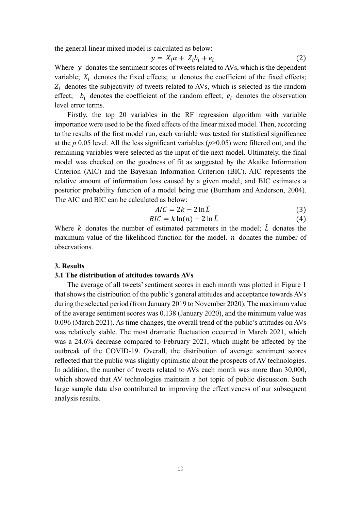the general linear mixed model is calculated as below:

$$
y = X_i \alpha + Z_i b_i + e_i \tag{2}
$$

Where  $y$  donates the sentiment scores of tweets related to AVs, which is the dependent variable;  $X_i$  denotes the fixed effects;  $\alpha$  denotes the coefficient of the fixed effects;  $Z_i$  denotes the subjectivity of tweets related to AVs, which is selected as the random effect;  $b_i$  denotes the coefficient of the random effect;  $e_i$  denotes the observation level error terms.

Firstly, the top 20 variables in the RF regression algorithm with variable importance were used to be the fixed effects of the linear mixed model. Then, according to the results of the first model run, each variable was tested for statistical significance at the *p* 0.05 level. All the less significant variables (*p*>0.05) were filtered out, and the remaining variables were selected as the input of the next model. Ultimately, the final model was checked on the goodness of fit as suggested by the Akaike Information Criterion (AIC) and the Bayesian Information Criterion (BIC). AIC represents the relative amount of information loss caused by a given model, and BIC estimates a posterior probability function of a model being true (Burnham and Anderson, 2004). The AIC and BIC can be calculated as below:

$$
AIC = 2k - 2\ln\hat{L}
$$
 (3)

$$
BIC = k \ln(n) - 2 \ln \hat{L}
$$
 (4)

Where k donates the number of estimated parameters in the model;  $\hat{L}$  donates the maximum value of the likelihood function for the model.  $n$  donates the number of observations.

#### **3. Results**

## **3.1 The distribution of attitudes towards AVs**

The average of all tweets' sentiment scores in each month was plotted in Figure 1 that shows the distribution of the public's general attitudes and acceptance towards AVs during the selected period (from January 2019 to November 2020). The maximum value of the average sentiment scores was 0.138 (January 2020), and the minimum value was 0.096 (March 2021). As time changes, the overall trend of the public's attitudes on AVs was relatively stable. The most dramatic fluctuation occurred in March 2021, which was a 24.6% decrease compared to February 2021, which might be affected by the outbreak of the COVID-19. Overall, the distribution of average sentiment scores reflected that the public was slightly optimistic about the prospects of AV technologies. In addition, the number of tweets related to AVs each month was more than 30,000, which showed that AV technologies maintain a hot topic of public discussion. Such large sample data also contributed to improving the effectiveness of our subsequent analysis results.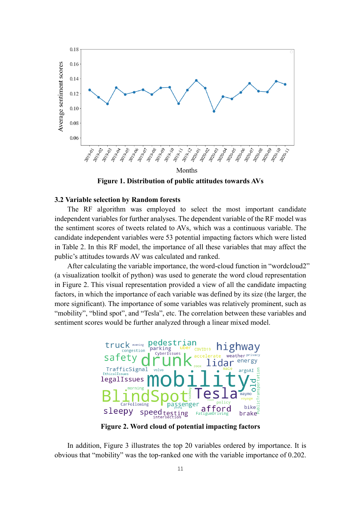

**Figure 1. Distribution of public attitudes towards AVs**

## **3.2 Variable selection by Random forests**

The RF algorithm was employed to select the most important candidate independent variables for further analyses. The dependent variable of the RF model was the sentiment scores of tweets related to AVs, which was a continuous variable. The candidate independent variables were 53 potential impacting factors which were listed in Table 2. In this RF model, the importance of all these variables that may affect the public's attitudes towards AV was calculated and ranked.

After calculating the variable importance, the word-cloud function in "wordcloud2" (a visualization toolkit of python) was used to generate the word cloud representation in Figure 2. This visual representation provided a view of all the candidate impacting factors, in which the importance of each variable was defined by its size (the larger, the more significant). The importance of some variables was relatively prominent, such as "mobility", "blind spot", and "Tesla", etc. The correlation between these variables and sentiment scores would be further analyzed through a linear mixed model.



**Figure 2. Word cloud of potential impacting factors**

In addition, Figure 3 illustrates the top 20 variables ordered by importance. It is obvious that "mobility" was the top-ranked one with the variable importance of 0.202.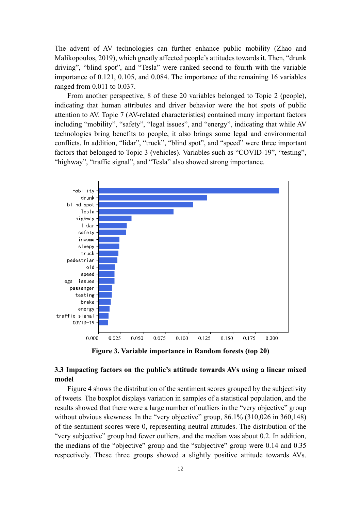The advent of AV technologies can further enhance public mobility (Zhao and Malikopoulos, 2019), which greatly affected people's attitudes towards it. Then, "drunk driving", "blind spot", and "Tesla" were ranked second to fourth with the variable importance of 0.121, 0.105, and 0.084. The importance of the remaining 16 variables ranged from 0.011 to 0.037.

From another perspective, 8 of these 20 variables belonged to Topic 2 (people), indicating that human attributes and driver behavior were the hot spots of public attention to AV. Topic 7 (AV-related characteristics) contained many important factors including "mobility", "safety", "legal issues", and "energy", indicating that while AV technologies bring benefits to people, it also brings some legal and environmental conflicts. In addition, "lidar", "truck", "blind spot", and "speed" were three important factors that belonged to Topic 3 (vehicles). Variables such as "COVID-19", "testing", "highway", "traffic signal", and "Tesla" also showed strong importance.



**Figure 3. Variable importance in Random forests (top 20)**

# **3.3 Impacting factors on the public's attitude towards AVs using a linear mixed model**

Figure 4 shows the distribution of the sentiment scores grouped by the subjectivity of tweets. The boxplot displays variation in samples of a statistical population, and the results showed that there were a large number of outliers in the "very objective" group without obvious skewness. In the "very objective" group, 86.1% (310,026 in 360,148) of the sentiment scores were 0, representing neutral attitudes. The distribution of the "very subjective" group had fewer outliers, and the median was about 0.2. In addition, the medians of the "objective" group and the "subjective" group were 0.14 and 0.35 respectively. These three groups showed a slightly positive attitude towards AVs.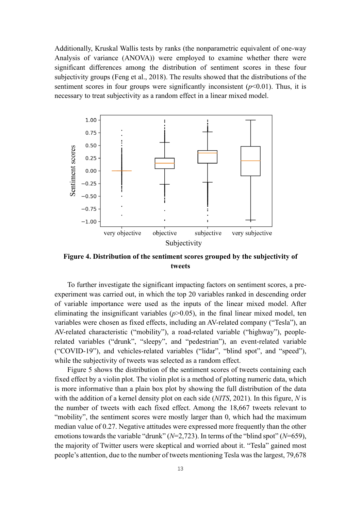Additionally, Kruskal Wallis tests by ranks (the nonparametric equivalent of one-way Analysis of variance (ANOVA)) were employed to examine whether there were significant differences among the distribution of sentiment scores in these four subjectivity groups (Feng et al., 2018). The results showed that the distributions of the sentiment scores in four groups were significantly inconsistent  $(p<0.01)$ . Thus, it is necessary to treat subjectivity as a random effect in a linear mixed model.



**Figure 4. Distribution of the sentiment scores grouped by the subjectivity of tweets**

To further investigate the significant impacting factors on sentiment scores, a preexperiment was carried out, in which the top 20 variables ranked in descending order of variable importance were used as the inputs of the linear mixed model. After eliminating the insignificant variables  $(p>0.05)$ , in the final linear mixed model, ten variables were chosen as fixed effects, including an AV-related company ("Tesla"), an AV-related characteristic ("mobility"), a road-related variable ("highway"), peoplerelated variables ("drunk", "sleepy", and "pedestrian"), an event-related variable ("COVID-19"), and vehicles-related variables ("lidar", "blind spot", and "speed"), while the subjectivity of tweets was selected as a random effect.

Figure 5 shows the distribution of the sentiment scores of tweets containing each fixed effect by a violin plot. The violin plot is a method of plotting numeric data, which is more informative than a plain box plot by showing the full distribution of the data with the addition of a kernel density plot on each side (*NITS*, 2021). In this figure, *N* is the number of tweets with each fixed effect. Among the 18,667 tweets relevant to "mobility", the sentiment scores were mostly larger than 0, which had the maximum median value of 0.27. Negative attitudes were expressed more frequently than the other emotions towards the variable "drunk" (*N*=2,723). In terms of the "blind spot" (*N*=659), the majority of Twitter users were skeptical and worried about it. "Tesla" gained most people's attention, due to the number of tweets mentioning Tesla was the largest, 79,678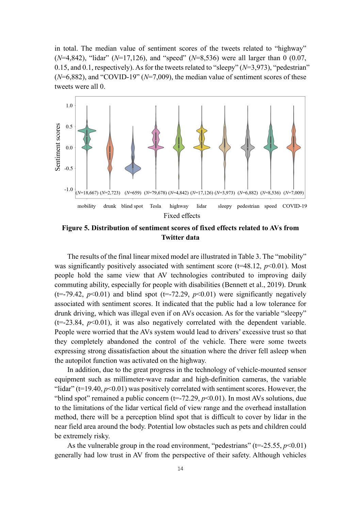in total. The median value of sentiment scores of the tweets related to "highway" (*N*=4,842), "lidar" (*N*=17,126), and "speed" (*N*=8,536) were all larger than 0 (0.07, 0.15, and 0.1, respectively). As for the tweets related to "sleepy" (*N*=3,973), "pedestrian" (*N*=6,882), and "COVID-19" (*N*=7,009), the median value of sentiment scores of these tweets were all 0.



**Figure 5. Distribution of sentiment scores of fixed effects related to AVs from Twitter data**

The results of the final linear mixed model are illustrated in Table 3. The "mobility" was significantly positively associated with sentiment score ( $t=48.12$ ,  $p<0.01$ ). Most people hold the same view that AV technologies contributed to improving daily commuting ability, especially for people with disabilities (Bennett et al., 2019). Drunk (t=-79.42,  $p<0.01$ ) and blind spot (t=-72.29,  $p<0.01$ ) were significantly negatively associated with sentiment scores. It indicated that the public had a low tolerance for drunk driving, which was illegal even if on AVs occasion. As for the variable "sleepy"  $(t=-23.84, p<0.01)$ , it was also negatively correlated with the dependent variable. People were worried that the AVs system would lead to drivers' excessive trust so that they completely abandoned the control of the vehicle. There were some tweets expressing strong dissatisfaction about the situation where the driver fell asleep when the autopilot function was activated on the highway.

In addition, due to the great progress in the technology of vehicle-mounted sensor equipment such as millimeter-wave radar and high-definition cameras, the variable "lidar" ( $t=19.40$ ,  $p<0.01$ ) was positively correlated with sentiment scores. However, the "blind spot" remained a public concern  $(t=-72.29, p<0.01)$ . In most AVs solutions, due to the limitations of the lidar vertical field of view range and the overhead installation method, there will be a perception blind spot that is difficult to cover by lidar in the near field area around the body. Potential low obstacles such as pets and children could be extremely risky.

As the vulnerable group in the road environment, "pedestrians" ( $t = -25.55$ ,  $p < 0.01$ ) generally had low trust in AV from the perspective of their safety. Although vehicles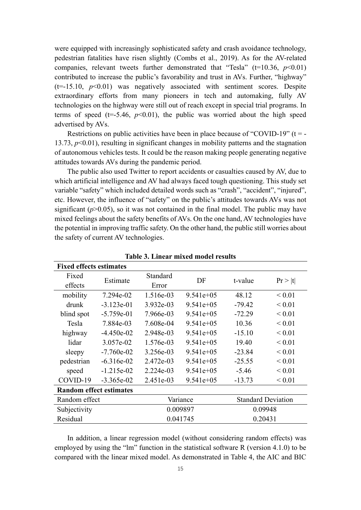were equipped with increasingly sophisticated safety and crash avoidance technology, pedestrian fatalities have risen slightly (Combs et al., 2019). As for the AV-related companies, relevant tweets further demonstrated that "Tesla" ( $t=10.36$ ,  $p<0.01$ ) contributed to increase the public's favorability and trust in AVs. Further, "highway"  $(t=15.10, p<0.01)$  was negatively associated with sentiment scores. Despite extraordinary efforts from many pioneers in tech and automaking, fully AV technologies on the highway were still out of reach except in special trial programs. In terms of speed ( $t=5.46$ ,  $p<0.01$ ), the public was worried about the high speed advertised by AVs.

Restrictions on public activities have been in place because of "COVID-19" ( $t = -$ 13.73, *p*<0.01), resulting in significant changes in mobility patterns and the stagnation of autonomous vehicles tests. It could be the reason making people generating negative attitudes towards AVs during the pandemic period.

The public also used Twitter to report accidents or casualties caused by AV, due to which artificial intelligence and AV had always faced tough questioning. This study set variable "safety" which included detailed words such as "crash", "accident", "injured", etc. However, the influence of "safety" on the public's attitudes towards AVs was not significant  $(p>0.05)$ , so it was not contained in the final model. The public may have mixed feelings about the safety benefits of AVs. On the one hand, AV technologies have the potential in improving traffic safety. On the other hand, the public still worries about the safety of current AV technologies.

| <b>Fixed effects estimates</b> |              |             |             |          |                           |
|--------------------------------|--------------|-------------|-------------|----------|---------------------------|
| Fixed                          | Estimate     | Standard    | DF          | t-value  |                           |
| effects                        |              | Error       |             |          | Pr >  t                   |
| mobility                       | 7.294e-02    | 1.516e-03   | $9.541e+05$ | 48.12    | ${}_{0.01}$               |
| drunk                          | $-3.123e-01$ | 3.932e-03   | $9.541e+05$ | $-79.42$ | ${}_{0.01}$               |
| blind spot                     | $-5.759e-01$ | 7.966e-03   | $9.541e+05$ | $-72.29$ | ${}_{0.01}$               |
| Tesla                          | 7.884e-03    | 7.608e-04   | $9.541e+05$ | 10.36    | ${}_{0.01}$               |
| highway                        | $-4.450e-02$ | 2.948e-03   | $9.541e+05$ | $-15.10$ | ${}_{0.01}$               |
| lidar                          | 3.057e-02    | 1.576e-03   | $9.541e+05$ | 19.40    | ${}_{0.01}$               |
| sleepy                         | $-7.760e-02$ | 3.256e-03   | $9.541e+05$ | $-23.84$ | ${}_{0.01}$               |
| pedestrian                     | $-6.316e-02$ | 2.472e-03   | $9.541e+05$ | $-25.55$ | ${}_{0.01}$               |
| speed                          | $-1.215e-02$ | $2.224e-03$ | $9.541e+05$ | $-5.46$  | ${}_{0.01}$               |
| COVID-19                       | $-3.365e-02$ | $2.451e-03$ | $9.541e+05$ | $-13.73$ | ${}_{0.01}$               |
| <b>Random effect estimates</b> |              |             |             |          |                           |
| Random effect                  |              |             | Variance    |          | <b>Standard Deviation</b> |
| Subjectivity                   |              | 0.009897    |             | 0.09948  |                           |
| Residual                       |              |             | 0.041745    | 0.20431  |                           |

**Table 3. Linear mixed model results**

In addition, a linear regression model (without considering random effects) was employed by using the "lm" function in the statistical software R (version 4.1.0) to be compared with the linear mixed model. As demonstrated in Table 4, the AIC and BIC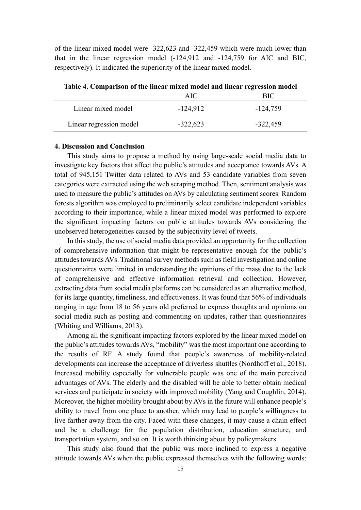of the linear mixed model were -322,623 and -322,459 which were much lower than that in the linear regression model (-124,912 and -124,759 for AIC and BIC, respectively). It indicated the superiority of the linear mixed model.

| Table 4. Comparison of the linear mixed model and linear regression model |            |            |  |
|---------------------------------------------------------------------------|------------|------------|--|
|                                                                           | AIC.       | BIC.       |  |
| Linear mixed model                                                        | $-124,912$ | -124,759   |  |
| Linear regression model                                                   | $-322,623$ | $-322,459$ |  |

**Table 4. Comparison of the linear mixed model and linear regression model**

#### **4. Discussion and Conclusion**

This study aims to propose a method by using large-scale social media data to investigate key factors that affect the public's attitudes and acceptance towards AVs. A total of 945,151 Twitter data related to AVs and 53 candidate variables from seven categories were extracted using the web scraping method. Then, sentiment analysis was used to measure the public's attitudes on AVs by calculating sentiment scores. Random forests algorithm was employed to preliminarily select candidate independent variables according to their importance, while a linear mixed model was performed to explore the significant impacting factors on public attitudes towards AVs considering the unobserved heterogeneities caused by the subjectivity level of tweets.

In this study, the use of social media data provided an opportunity for the collection of comprehensive information that might be representative enough for the public's attitudes towards AVs. Traditional survey methods such as field investigation and online questionnaires were limited in understanding the opinions of the mass due to the lack of comprehensive and effective information retrieval and collection. However, extracting data from social media platforms can be considered as an alternative method, for its large quantity, timeliness, and effectiveness. It was found that 56% of individuals ranging in age from 18 to 56 years old preferred to express thoughts and opinions on social media such as posting and commenting on updates, rather than questionnaires (Whiting and Williams, 2013).

Among all the significant impacting factors explored by the linear mixed model on the public's attitudes towards AVs, "mobility" was the most important one according to the results of RF. A study found that people's awareness of mobility-related developments can increase the acceptance of driverless shuttles (Nordhoff et al., 2018). Increased mobility especially for vulnerable people was one of the main perceived advantages of AVs. The elderly and the disabled will be able to better obtain medical services and participate in society with improved mobility (Yang and Coughlin, 2014). Moreover, the higher mobility brought about by AVs in the future will enhance people's ability to travel from one place to another, which may lead to people's willingness to live farther away from the city. Faced with these changes, it may cause a chain effect and be a challenge for the population distribution, education structure, and transportation system, and so on. It is worth thinking about by policymakers.

This study also found that the public was more inclined to express a negative attitude towards AVs when the public expressed themselves with the following words: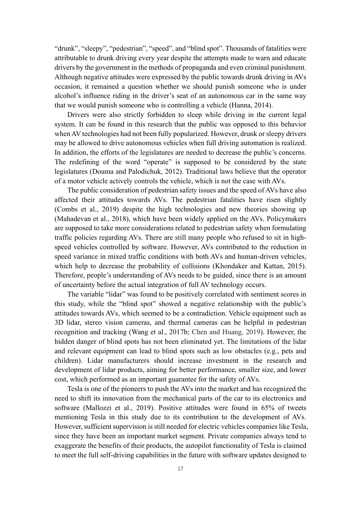"drunk", "sleepy", "pedestrian", "speed", and "blind spot". Thousands of fatalities were attributable to drunk driving every year despite the attempts made to warn and educate drivers by the government in the methods of propaganda and even criminal punishment. Although negative attitudes were expressed by the public towards drunk driving in AVs occasion, it remained a question whether we should punish someone who is under alcohol's influence riding in the driver's seat of an autonomous car in the same way that we would punish someone who is controlling a vehicle (Hanna, 2014).

Drivers were also strictly forbidden to sleep while driving in the current legal system. It can be found in this research that the public was opposed to this behavior when AV technologies had not been fully popularized. However, drunk or sleepy drivers may be allowed to drive autonomous vehicles when full driving automation is realized. In addition, the efforts of the legislatures are needed to decrease the public's concerns. The redefining of the word "operate" is supposed to be considered by the state legislatures (Douma and Palodichuk, 2012). Traditional laws believe that the operator of a motor vehicle actively controls the vehicle, which is not the case with AVs.

The public consideration of pedestrian safety issues and the speed of AVs have also affected their attitudes towards AVs. The pedestrian fatalities have risen slightly (Combs et al., 2019) despite the high technologies and new theories showing up (Mahadevan et al., 2018), which have been widely applied on the AVs. Policymakers are supposed to take more considerations related to pedestrian safety when formulating traffic policies regarding AVs. There are still many people who refused to sit in highspeed vehicles controlled by software. However, AVs contributed to the reduction in speed variance in mixed traffic conditions with both AVs and human-driven vehicles, which help to decrease the probability of collisions (Khondaker and Kattan, 2015). Therefore, people's understanding of AVs needs to be guided, since there is an amount of uncertainty before the actual integration of full AV technology occurs.

The variable "lidar" was found to be positively correlated with sentiment scores in this study, while the "blind spot" showed a negative relationship with the public's attitudes towards AVs, which seemed to be a contradiction. Vehicle equipment such as 3D lidar, stereo vision cameras, and thermal cameras can be helpful in pedestrian recognition and tracking (Wang et al., 2017b; Chen and Huang, 2019). However, the hidden danger of blind spots has not been eliminated yet. The limitations of the lidar and relevant equipment can lead to blind spots such as low obstacles (e.g., pets and children). Lidar manufacturers should increase investment in the research and development of lidar products, aiming for better performance, smaller size, and lower cost, which performed as an important guarantee for the safety of AVs.

Tesla is one of the pioneers to push the AVs into the market and has recognized the need to shift its innovation from the mechanical parts of the car to its electronics and software (Mallozzi et al., 2019). Positive attitudes were found in 65% of tweets mentioning Tesla in this study due to its contribution to the development of AVs. However, sufficient supervision is still needed for electric vehicles companies like Tesla, since they have been an important market segment. Private companies always tend to exaggerate the benefits of their products, the autopilot functionality of Tesla is claimed to meet the full self-driving capabilities in the future with software updates designed to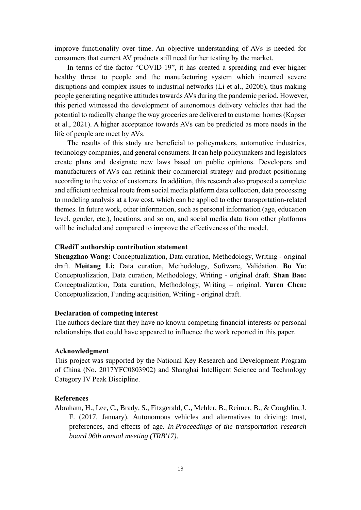improve functionality over time. An objective understanding of AVs is needed for consumers that current AV products still need further testing by the market.

In terms of the factor "COVID-19", it has created a spreading and ever-higher healthy threat to people and the manufacturing system which incurred severe disruptions and complex issues to industrial networks (Li et al., 2020b), thus making people generating negative attitudes towards AVs during the pandemic period. However, this period witnessed the development of autonomous delivery vehicles that had the potential to radically change the way groceries are delivered to customer homes (Kapser et al., 2021). A higher acceptance towards AVs can be predicted as more needs in the life of people are meet by AVs.

The results of this study are beneficial to policymakers, automotive industries, technology companies, and general consumers. It can help policymakers and legislators create plans and designate new laws based on public opinions. Developers and manufacturers of AVs can rethink their commercial strategy and product positioning according to the voice of customers. In addition, this research also proposed a complete and efficient technical route from social media platform data collection, data processing to modeling analysis at a low cost, which can be applied to other transportation-related themes. In future work, other information, such as personal information (age, education level, gender, etc.), locations, and so on, and social media data from other platforms will be included and compared to improve the effectiveness of the model.

#### **CRediT authorship contribution statement**

**Shengzhao Wang:** Conceptualization, Data curation, Methodology, Writing - original draft. **Meitang Li:** Data curation, Methodology, Software, Validation. **Bo Yu**: Conceptualization, Data curation, Methodology, Writing - original draft. **Shan Bao:**  Conceptualization, Data curation, Methodology, Writing – original. **Yuren Chen:**  Conceptualization, Funding acquisition, Writing - original draft.

## **Declaration of competing interest**

The authors declare that they have no known competing financial interests or personal relationships that could have appeared to influence the work reported in this paper.

### **Acknowledgment**

This project was supported by the National Key Research and Development Program of China (No. 2017YFC0803902) and Shanghai Intelligent Science and Technology Category IV Peak Discipline.

#### **References**

Abraham, H., Lee, C., Brady, S., Fitzgerald, C., Mehler, B., Reimer, B., & Coughlin, J. F. (2017, January). Autonomous vehicles and alternatives to driving: trust, preferences, and effects of age. *In Proceedings of the transportation research board 96th annual meeting (TRB'17)*.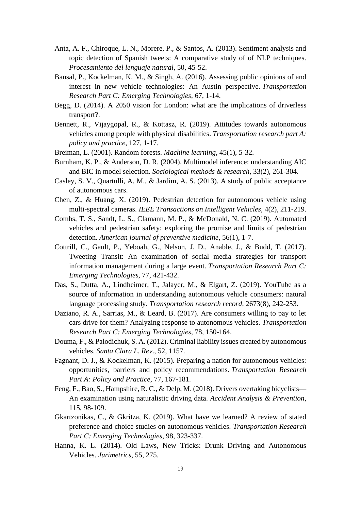- Anta, A. F., Chiroque, L. N., Morere, P., & Santos, A. (2013). Sentiment analysis and topic detection of Spanish tweets: A comparative study of of NLP techniques. *Procesamiento del lenguaje natural*, 50, 45-52.
- Bansal, P., Kockelman, K. M., & Singh, A. (2016). Assessing public opinions of and interest in new vehicle technologies: An Austin perspective. *Transportation Research Part C: Emerging Technologies*, 67, 1-14.
- Begg, D. (2014). A 2050 vision for London: what are the implications of driverless transport?.
- Bennett, R., Vijaygopal, R., & Kottasz, R. (2019). Attitudes towards autonomous vehicles among people with physical disabilities. *Transportation research part A: policy and practice*, 127, 1-17.
- Breiman, L. (2001). Random forests. *Machine learning*, 45(1), 5-32.
- Burnham, K. P., & Anderson, D. R. (2004). Multimodel inference: understanding AIC and BIC in model selection. *Sociological methods & research*, 33(2), 261-304.
- Casley, S. V., Quartulli, A. M., & Jardim, A. S. (2013). A study of public acceptance of autonomous cars.
- Chen, Z., & Huang, X. (2019). Pedestrian detection for autonomous vehicle using multi-spectral cameras. *IEEE Transactions on Intelligent Vehicles*, 4(2), 211-219.
- Combs, T. S., Sandt, L. S., Clamann, M. P., & McDonald, N. C. (2019). Automated vehicles and pedestrian safety: exploring the promise and limits of pedestrian detection. *American journal of preventive medicine*, 56(1), 1-7.
- Cottrill, C., Gault, P., Yeboah, G., Nelson, J. D., Anable, J., & Budd, T. (2017). Tweeting Transit: An examination of social media strategies for transport information management during a large event. *Transportation Research Part C: Emerging Technologies*, 77, 421-432.
- Das, S., Dutta, A., Lindheimer, T., Jalayer, M., & Elgart, Z. (2019). YouTube as a source of information in understanding autonomous vehicle consumers: natural language processing study. *Transportation research record*, 2673(8), 242-253.
- Daziano, R. A., Sarrias, M., & Leard, B. (2017). Are consumers willing to pay to let cars drive for them? Analyzing response to autonomous vehicles. *Transportation Research Part C: Emerging Technologies*, 78, 150-164.
- Douma, F., & Palodichuk, S. A. (2012). Criminal liability issues created by autonomous vehicles. *Santa Clara L. Rev*., 52, 1157.
- Fagnant, D. J., & Kockelman, K. (2015). Preparing a nation for autonomous vehicles: opportunities, barriers and policy recommendations. *Transportation Research Part A: Policy and Practice*, 77, 167-181.
- Feng, F., Bao, S., Hampshire, R. C., & Delp, M. (2018). Drivers overtaking bicyclists— An examination using naturalistic driving data. *Accident Analysis & Prevention*, 115, 98-109.
- Gkartzonikas, C., & Gkritza, K. (2019). What have we learned? A review of stated preference and choice studies on autonomous vehicles. *Transportation Research Part C: Emerging Technologies*, 98, 323-337.
- Hanna, K. L. (2014). Old Laws, New Tricks: Drunk Driving and Autonomous Vehicles. *Jurimetrics*, 55, 275.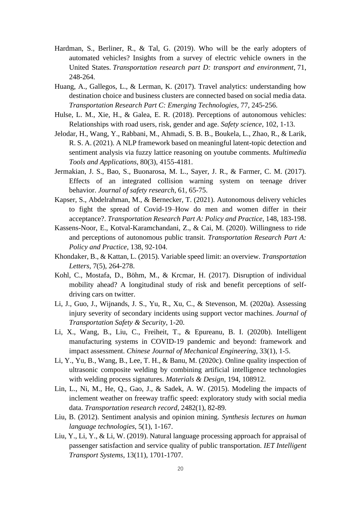- Hardman, S., Berliner, R., & Tal, G. (2019). Who will be the early adopters of automated vehicles? Insights from a survey of electric vehicle owners in the United States. *Transportation research part D: transport and environment*, 71, 248-264.
- Huang, A., Gallegos, L., & Lerman, K. (2017). Travel analytics: understanding how destination choice and business clusters are connected based on social media data. *Transportation Research Part C: Emerging Technologies*, 77, 245-256.
- Hulse, L. M., Xie, H., & Galea, E. R. (2018). Perceptions of autonomous vehicles: Relationships with road users, risk, gender and age. *Safety science*, 102, 1-13.
- Jelodar, H., Wang, Y., Rabbani, M., Ahmadi, S. B. B., Boukela, L., Zhao, R., & Larik, R. S. A. (2021). A NLP framework based on meaningful latent-topic detection and sentiment analysis via fuzzy lattice reasoning on youtube comments. *Multimedia Tools and Applications*, 80(3), 4155-4181.
- Jermakian, J. S., Bao, S., Buonarosa, M. L., Sayer, J. R., & Farmer, C. M. (2017). Effects of an integrated collision warning system on teenage driver behavior. *Journal of safety research*, 61, 65-75.
- Kapser, S., Abdelrahman, M., & Bernecker, T. (2021). Autonomous delivery vehicles to fight the spread of Covid-19–How do men and women differ in their acceptance?. *Transportation Research Part A: Policy and Practice*, 148, 183-198.
- Kassens-Noor, E., Kotval-Karamchandani, Z., & Cai, M. (2020). Willingness to ride and perceptions of autonomous public transit. *Transportation Research Part A: Policy and Practice*, 138, 92-104.
- Khondaker, B., & Kattan, L. (2015). Variable speed limit: an overview. *Transportation Letters*, 7(5), 264-278.
- Kohl, C., Mostafa, D., Böhm, M., & Krcmar, H. (2017). Disruption of individual mobility ahead? A longitudinal study of risk and benefit perceptions of selfdriving cars on twitter.
- Li, J., Guo, J., Wijnands, J. S., Yu, R., Xu, C., & Stevenson, M. (2020a). Assessing injury severity of secondary incidents using support vector machines. *Journal of Transportation Safety & Security*, 1-20.
- Li, X., Wang, B., Liu, C., Freiheit, T., & Epureanu, B. I. (2020b). Intelligent manufacturing systems in COVID-19 pandemic and beyond: framework and impact assessment. *Chinese Journal of Mechanical Engineering*, 33(1), 1-5.
- Li, Y., Yu, B., Wang, B., Lee, T. H., & Banu, M. (2020c). Online quality inspection of ultrasonic composite welding by combining artificial intelligence technologies with welding process signatures. *Materials & Design*, 194, 108912.
- Lin, L., Ni, M., He, Q., Gao, J., & Sadek, A. W. (2015). Modeling the impacts of inclement weather on freeway traffic speed: exploratory study with social media data. *Transportation research record*, 2482(1), 82-89.
- Liu, B. (2012). Sentiment analysis and opinion mining. *Synthesis lectures on human language technologies*, 5(1), 1-167.
- Liu, Y., Li, Y., & Li, W. (2019). Natural language processing approach for appraisal of passenger satisfaction and service quality of public transportation. *IET Intelligent Transport Systems*, 13(11), 1701-1707.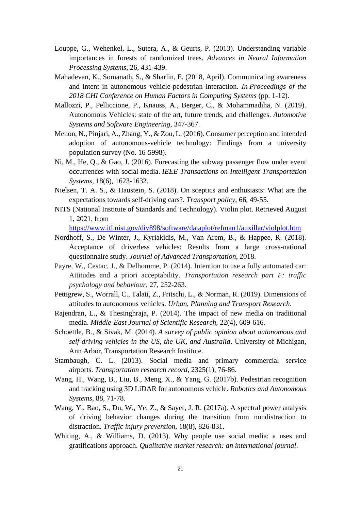- Louppe, G., Wehenkel, L., Sutera, A., & Geurts, P. (2013). Understanding variable importances in forests of randomized trees. *Advances in Neural Information Processing Systems*, 26, 431-439.
- Mahadevan, K., Somanath, S., & Sharlin, E. (2018, April). Communicating awareness and intent in autonomous vehicle-pedestrian interaction. *In Proceedings of the 2018 CHI Conference on Human Factors in Computing Systems* (pp. 1-12).
- Mallozzi, P., Pelliccione, P., Knauss, A., Berger, C., & Mohammadiha, N. (2019). Autonomous Vehicles: state of the art, future trends, and challenges. *Automotive Systems and Software Engineering*, 347-367.
- Menon, N., Pinjari, A., Zhang, Y., & Zou, L. (2016). Consumer perception and intended adoption of autonomous-vehicle technology: Findings from a university population survey (No. 16-5998).
- Ni, M., He, Q., & Gao, J. (2016). Forecasting the subway passenger flow under event occurrences with social media. *IEEE Transactions on Intelligent Transportation Systems*, 18(6), 1623-1632.
- Nielsen, T. A. S., & Haustein, S. (2018). On sceptics and enthusiasts: What are the expectations towards self-driving cars?. *Transport policy*, 66, 49-55.
- NITS (National Institute of Standards and Technology). Violin plot. Retrieved August 1, 2021, from

<https://www.itl.nist.gov/div898/software/dataplot/refman1/auxillar/violplot.htm>

- Nordhoff, S., De Winter, J., Kyriakidis, M., Van Arem, B., & Happee, R. (2018). Acceptance of driverless vehicles: Results from a large cross-national questionnaire study. *Journal of Advanced Transportation*, 2018.
- Payre, W., Cestac, J., & Delhomme, P. (2014). Intention to use a fully automated car: Attitudes and a priori acceptability. *Transportation research part F: traffic psychology and behaviour*, 27, 252-263.
- Pettigrew, S., Worrall, C., Talati, Z., Fritschi, L., & Norman, R. (2019). Dimensions of attitudes to autonomous vehicles. *Urban, Planning and Transport Research*.
- Rajendran, L., & Thesinghraja, P. (2014). The impact of new media on traditional media. *Middle-East Journal of Scientific Research*, 22(4), 609-616.
- Schoettle, B., & Sivak, M. (2014). *A survey of public opinion about autonomous and self-driving vehicles in the US, the UK, and Australia*. University of Michigan, Ann Arbor, Transportation Research Institute.
- Stambaugh, C. L. (2013). Social media and primary commercial service airports. *Transportation research record*, 2325(1), 76-86.
- Wang, H., Wang, B., Liu, B., Meng, X., & Yang, G. (2017b). Pedestrian recognition and tracking using 3D LiDAR for autonomous vehicle. *Robotics and Autonomous Systems*, 88, 71-78.
- Wang, Y., Bao, S., Du, W., Ye, Z., & Sayer, J. R. (2017a). A spectral power analysis of driving behavior changes during the transition from nondistraction to distraction. *Traffic injury prevention*, 18(8), 826-831.
- Whiting, A., & Williams, D. (2013). Why people use social media: a uses and gratifications approach. *Qualitative market research: an international journal*.